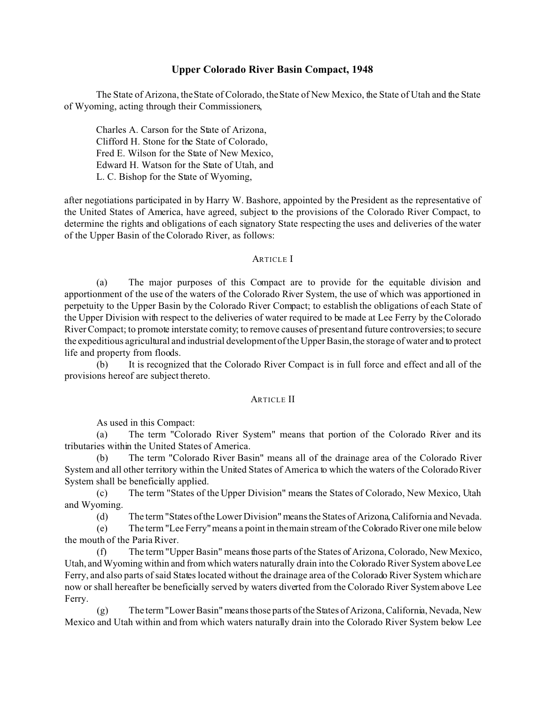# **Upper Colorado River Basin Compact, 1948**

The State of Arizona, the State of Colorado, the State of New Mexico, the State of Utah and the State of Wyoming, acting through their Commissioners,

Charles A. Carson for the State of Arizona, Clifford H. Stone for the State of Colorado, Fred E. Wilson for the State of New Mexico, Edward H. Watson for the State of Utah, and L. C. Bishop for the State of Wyoming,

after negotiations participated in by Harry W. Bashore, appointed by the President as the representative of the United States of America, have agreed, subject to the provisions of the Colorado River Compact, to determine the rights and obligations of each signatory State respecting the uses and deliveries of the water of the Upper Basin of the Colorado River, as follows:

### ARTICLE I

(a) The major purposes of this Compact are to provide for the equitable division and apportionment of the use of the waters of the Colorado River System, the use of which was apportioned in perpetuity to the Upper Basin by the Colorado River Compact; to establish the obligations of each State of the Upper Division with respect to the deliveries of water required to be made at Lee Ferry by the Colorado River Compact; to promote interstate comity; to remove causes of present and future controversies; to secure the expeditious agricultural and industrial development of the Upper Basin, the storage of water and to protect life and property from floods.

(b) It is recognized that the Colorado River Compact is in full force and effect and all of the provisions hereof are subject thereto.

#### ARTICLE II

As used in this Compact:

(a) The term "Colorado River System" means that portion of the Colorado River and its tributaries within the United States of America.

(b) The term "Colorado River Basin" means all of the drainage area of the Colorado River System and all other territory within the United States of America to which the waters of the Colorado River System shall be beneficially applied.

(c) The term "States of the Upper Division" means the States of Colorado, New Mexico, Utah and Wyoming.

(d) The term "States of the Lower Division" means the States of Arizona, California and Nevada.

(e) The term "Lee Ferry" means a point in the main stream of the Colorado River one mile below the mouth of the Paria River.

(f) The term "Upper Basin" means those parts of the States of Arizona, Colorado, New Mexico, Utah, and Wyoming within and from which waters naturally drain into the Colorado River System above Lee Ferry, and also parts of said States located without the drainage area of the Colorado River System which are now or shall hereafter be beneficially served by waters diverted from the Colorado River System above Lee Ferry.

(g) The term "Lower Basin" means those parts of the States of Arizona, California, Nevada, New Mexico and Utah within and from which waters naturally drain into the Colorado River System below Lee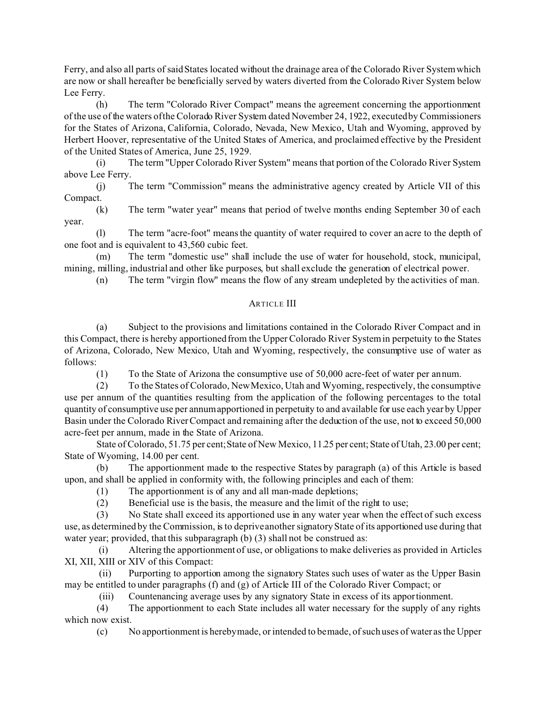Ferry, and also all parts of said States located without the drainage area of the Colorado River System which are now or shall hereafter be beneficially served by waters diverted from the Colorado River System below Lee Ferry.

(h) The term "Colorado River Compact" means the agreement concerning the apportionment of the use of the waters of the Colorado River System dated November 24, 1922, executed by Commissioners for the States of Arizona, California, Colorado, Nevada, New Mexico, Utah and Wyoming, approved by Herbert Hoover, representative of the United States of America, and proclaimed effective by the President of the United States of America, June 25, 1929.

(i) The term "Upper Colorado River System" means that portion of the Colorado River System above Lee Ferry.

(j) The term "Commission" means the administrative agency created by Article VII of this Compact.

(k) The term "water year" means that period of twelve months ending September 30 of each year.

(l) The term "acre-foot" means the quantity of water required to cover an acre to the depth of one foot and is equivalent to 43,560 cubic feet.

(m) The term "domestic use" shall include the use of water for household, stock, municipal, mining, milling, industrial and other like purposes, but shall exclude the generation of electrical power.

(n) The term "virgin flow" means the flow of any stream undepleted by the activities of man.

# **ARTICLE III**

(a) Subject to the provisions and limitations contained in the Colorado River Compact and in this Compact, there is hereby apportioned from the Upper Colorado River System in perpetuity to the States of Arizona, Colorado, New Mexico, Utah and Wyoming, respectively, the consumptive use of water as follows:

(1) To the State of Arizona the consumptive use of 50,000 acre-feet of water per annum.

(2) To the States of Colorado, New Mexico, Utah and Wyoming, respectively, the consumptive use per annum of the quantities resulting from the application of the following percentages to the total quantity of consumptive use per annum apportioned in perpetuity to and available for use each year by Upper Basin under the Colorado River Compact and remaining after the deduction of the use, not to exceed 50,000 acre-feet per annum, made in the State of Arizona.

State of Colorado, 51.75 per cent; State of New Mexico, 11.25 per cent; State of Utah, 23.00 per cent; State of Wyoming, 14.00 per cent.

(b) The apportionment made to the respective States by paragraph (a) of this Article is based upon, and shall be applied in conformity with, the following principles and each of them:

(1) The apportionment is of any and all man-made depletions;

(2) Beneficial use is the basis, the measure and the limit of the right to use;

(3) No State shall exceed its apportioned use in any water year when the effect of such excess use, as determined by the Commission, is to deprive another signatory State of its apportioned use during that water year; provided, that this subparagraph (b) (3) shall not be construed as:

 (i) Altering the apportionment of use, or obligations to make deliveries as provided in Articles XI, XII, XIII or XIV of this Compact:

 (ii) Purporting to apportion among the signatory States such uses of water as the Upper Basin may be entitled to under paragraphs (f) and (g) of Article III of the Colorado River Compact; or

(iii) Countenancing average uses by any signatory State in excess of its apportionment.

(4) The apportionment to each State includes all water necessary for the supply of any rights which now exist.

(c) No apportionment is hereby made, or intended to be made, of such uses of water as the Upper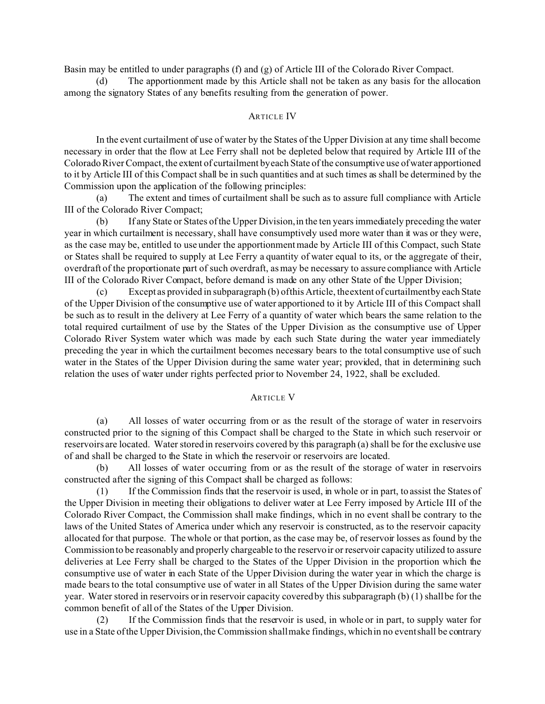Basin may be entitled to under paragraphs (f) and (g) of Article III of the Colorado River Compact.

(d) The apportionment made by this Article shall not be taken as any basis for the allocation among the signatory States of any benefits resulting from the generation of power.

#### ARTICLE IV

In the event curtailment of use of water by the States of the Upper Division at any time shall become necessary in order that the flow at Lee Ferry shall not be depleted below that required by Article III of the Colorado River Compact, the extent of curtailment by each State of the consumptive use of water apportioned to it by Article III of this Compact shall be in such quantities and at such times as shall be determined by the Commission upon the application of the following principles:

(a) The extent and times of curtailment shall be such as to assure full compliance with Article III of the Colorado River Compact;

(b) If any State or States of the Upper Division, in the ten years immediately preceding the water year in which curtailment is necessary, shall have consumptively used more water than it was or they were, as the case may be, entitled to use under the apportionment made by Article III of this Compact, such State or States shall be required to supply at Lee Ferry a quantity of water equal to its, or the aggregate of their, overdraft of the proportionate part of such overdraft, as may be necessary to assure compliance with Article III of the Colorado River Compact, before demand is made on any other State of the Upper Division;

(c) Except as provided in subparagraph (b) of this Article, the extent of curtailment by each State of the Upper Division of the consumptive use of water apportioned to it by Article III of this Compact shall be such as to result in the delivery at Lee Ferry of a quantity of water which bears the same relation to the total required curtailment of use by the States of the Upper Division as the consumptive use of Upper Colorado River System water which was made by each such State during the water year immediately preceding the year in which the curtailment becomes necessary bears to the total consumptive use of such water in the States of the Upper Division during the same water year; provided, that in determining such relation the uses of water under rights perfected prior to November 24, 1922, shall be excluded.

#### ARTICLE V

(a) All losses of water occurring from or as the result of the storage of water in reservoirs constructed prior to the signing of this Compact shall be charged to the State in which such reservoir or reservoirs are located. Water stored in reservoirs covered by this paragraph (a) shall be for the exclusive use of and shall be charged to the State in which the reservoir or reservoirs are located.

(b) All losses of water occurring from or as the result of the storage of water in reservoirs constructed after the signing of this Compact shall be charged as follows:

(1) If the Commission finds that the reservoir is used, in whole or in part, to assist the States of the Upper Division in meeting their obligations to deliver water at Lee Ferry imposed by Article III of the Colorado River Compact, the Commission shall make findings, which in no event shall be contrary to the laws of the United States of America under which any reservoir is constructed, as to the reservoir capacity allocated for that purpose. The whole or that portion, as the case may be, of reservoir losses as found by the Commission to be reasonably and properly chargeable to the reservoir or reservoir capacity utilized to assure deliveries at Lee Ferry shall be charged to the States of the Upper Division in the proportion which the consumptive use of water in each State of the Upper Division during the water year in which the charge is made bears to the total consumptive use of water in all States of the Upper Division during the same water year. Water stored in reservoirs or in reservoir capacity covered by this subparagraph (b) (1) shall be for the common benefit of all of the States of the Upper Division.

(2) If the Commission finds that the reservoir is used, in whole or in part, to supply water for use in a State of the Upper Division, the Commission shall make findings, which in no event shall be contrary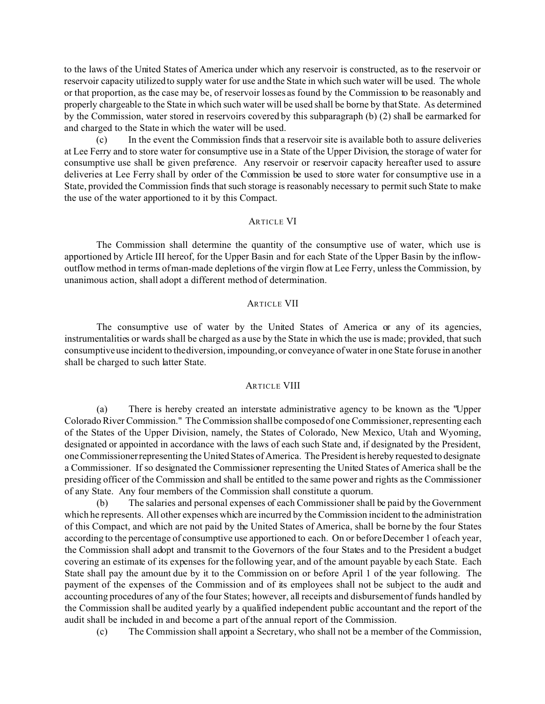to the laws of the United States of America under which any reservoir is constructed, as to the reservoir or reservoir capacity utilized to supply water for use and the State in which such water will be used. The whole or that proportion, as the case may be, of reservoir losses as found by the Commission to be reasonably and properly chargeable to the State in which such water will be used shall be borne by that State. As determined by the Commission, water stored in reservoirs covered by this subparagraph (b) (2) shall be earmarked for and charged to the State in which the water will be used.

(c) In the event the Commission finds that a reservoir site is available both to assure deliveries at Lee Ferry and to store water for consumptive use in a State of the Upper Division, the storage of water for consumptive use shall be given preference. Any reservoir or reservoir capacity hereafter used to assure deliveries at Lee Ferry shall by order of the Commission be used to store water for consumptive use in a State, provided the Commission finds that such storage is reasonably necessary to permit such State to make the use of the water apportioned to it by this Compact.

#### ARTICLE VI

The Commission shall determine the quantity of the consumptive use of water, which use is apportioned by Article III hereof, for the Upper Basin and for each State of the Upper Basin by the inflowoutflow method in terms of man-made depletions of the virgin flow at Lee Ferry, unless the Commission, by unanimous action, shall adopt a different method of determination.

### ARTICLE VII

The consumptive use of water by the United States of America or any of its agencies, instrumentalities or wards shall be charged as a use by the State in which the use is made; provided, that such consumptive use incident to the diversion, impounding, or conveyance of water in one State for use in another shall be charged to such latter State.

### **ARTICLE VIII**

(a) There is hereby created an interstate administrative agency to be known as the "Upper Colorado River Commission." The Commission shall be composed of one Commissioner, representing each of the States of the Upper Division, namely, the States of Colorado, New Mexico, Utah and Wyoming, designated or appointed in accordance with the laws of each such State and, if designated by the President, one Commissioner representing the United States of America. The President is hereby requested to designate a Commissioner. If so designated the Commissioner representing the United States of America shall be the presiding officer of the Commission and shall be entitled to the same power and rights as the Commissioner of any State. Any four members of the Commission shall constitute a quorum.

(b) The salaries and personal expenses of each Commissioner shall be paid by the Government which he represents. All other expenses which are incurred by the Commission incident to the administration of this Compact, and which are not paid by the United States of America, shall be borne by the four States according to the percentage of consumptive use apportioned to each. On or before December 1 of each year, the Commission shall adopt and transmit to the Governors of the four States and to the President a budget covering an estimate of its expenses for the following year, and of the amount payable by each State. Each State shall pay the amount due by it to the Commission on or before April 1 of the year following. The payment of the expenses of the Commission and of its employees shall not be subject to the audit and accounting procedures of any of the four States; however, all receipts and disbursement of funds handled by the Commission shall be audited yearly by a qualified independent public accountant and the report of the audit shall be included in and become a part of the annual report of the Commission.

(c) The Commission shall appoint a Secretary, who shall not be a member of the Commission,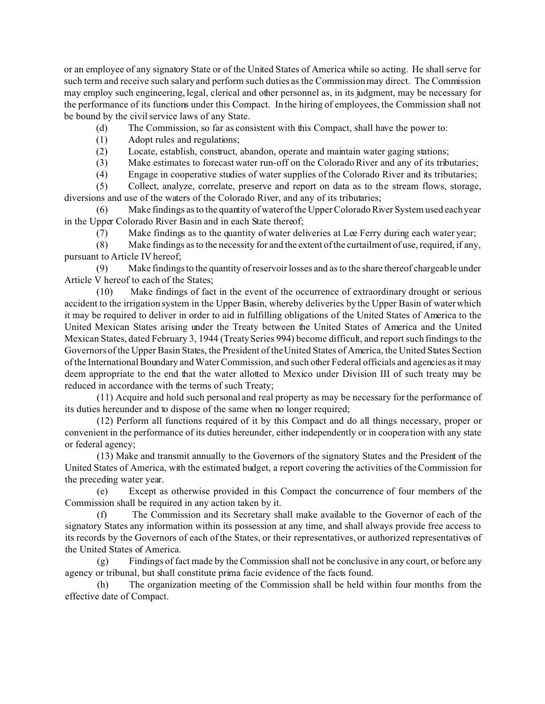or an employee of any signatory State or of the United States of America while so acting. He shall serve for such term and receive such salary and perform such duties as the Commission may direct. The Commission may employ such engineering, legal, clerical and other personnel as, in its judgment, may be necessary for the performance of its functions under this Compact. In the hiring of employees, the Commission shall not be bound by the civil service laws of any State.

(d) The Commission, so far as consistent with this Compact, shall have the power to:

(1) Adopt rules and regulations;

(2) Locate, establish, construct, abandon, operate and maintain water gaging stations;

(3) Make estimates to forecast water run-off on the Colorado River and any of its tributaries;

(4) Engage in cooperative studies of water supplies of the Colorado River and its tributaries;

(5) Collect, analyze, correlate, preserve and report on data as to the stream flows, storage, diversions and use of the waters of the Colorado River, and any of its tributaries;

(6) Make findings as to the quantity of water of the Upper Colorado River System used each year in the Upper Colorado River Basin and in each State thereof;

(7) Make findings as to the quantity of water deliveries at Lee Ferry during each water year;

(8) Make findings as to the necessity for and the extent of the curtailment of use, required, if any, pursuant to Article IV hereof;

(9) Make findings to the quantity of reservoir losses and as to the share thereof chargeable under Article V hereof to each of the States;

(10) Make findings of fact in the event of the occurrence of extraordinary drought or serious accident to the irrigation system in the Upper Basin, whereby deliveries by the Upper Basin of water which it may be required to deliver in order to aid in fulfilling obligations of the United States of America to the United Mexican States arising under the Treaty between the United States of America and the United Mexican States, dated February 3, 1944 (Treaty Series 994) become difficult, and report such findings to the Governors of the Upper Basin States, the President of the United States of America, the United States Section of the International Boundary and Water Commission, and such other Federal officials and agencies as it may deem appropriate to the end that the water allotted to Mexico under Division III of such treaty may be reduced in accordance with the terms of such Treaty;

(11) Acquire and hold such personal and real property as may be necessary for the performance of its duties hereunder and to dispose of the same when no longer required;

(12) Perform all functions required of it by this Compact and do all things necessary, proper or convenient in the performance of its duties hereunder, either independently or in cooperation with any state or federal agency;

(13) Make and transmit annually to the Governors of the signatory States and the President of the United States of America, with the estimated budget, a report covering the activities of the Commission for the preceding water year.

(e) Except as otherwise provided in this Compact the concurrence of four members of the Commission shall be required in any action taken by it.

(f) The Commission and its Secretary shall make available to the Governor of each of the signatory States any information within its possession at any time, and shall always provide free access to its records by the Governors of each of the States, or their representatives, or authorized representatives of the United States of America.

(g) Findings of fact made by the Commission shall not be conclusive in any court, or before any agency or tribunal, but shall constitute prima facie evidence of the facts found.

(h) The organization meeting of the Commission shall be held within four months from the effective date of Compact.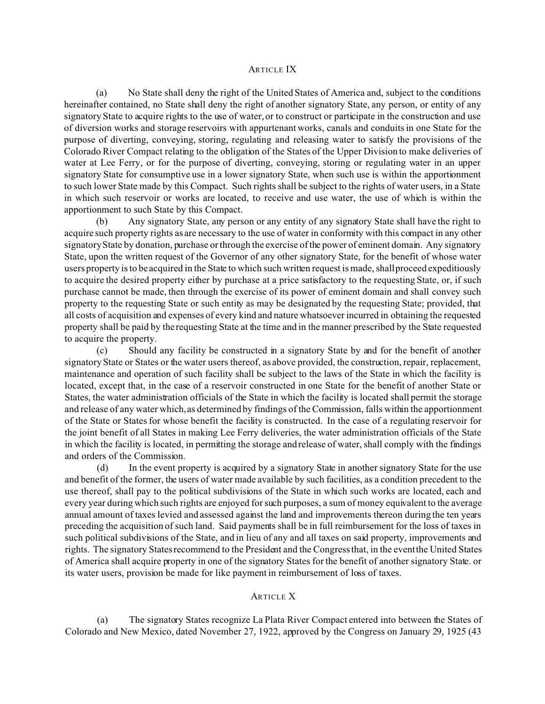#### ARTICLE IX

(a) No State shall deny the right of the United States of America and, subject to the conditions hereinafter contained, no State shall deny the right of another signatory State, any person, or entity of any signatory State to acquire rights to the use of water, or to construct or participate in the construction and use of diversion works and storage reservoirs with appurtenant works, canals and conduits in one State for the purpose of diverting, conveying, storing, regulating and releasing water to satisfy the provisions of the Colorado River Compact relating to the obligation of the States of the Upper Division to make deliveries of water at Lee Ferry, or for the purpose of diverting, conveying, storing or regulating water in an upper signatory State for consumptive use in a lower signatory State, when such use is within the apportionment to such lower State made by this Compact. Such rights shall be subject to the rights of water users, in a State in which such reservoir or works are located, to receive and use water, the use of which is within the apportionment to such State by this Compact.

(b) Any signatory State, any person or any entity of any signatory State shall have the right to acquire such property rights as are necessary to the use of water in conformity with this compact in any other signatory State by donation, purchase or through the exercise of the power of eminent domain. Any signatory State, upon the written request of the Governor of any other signatory State, for the benefit of whose water users property is to be acquired in the State to which such written request is made, shall proceed expeditiously to acquire the desired property either by purchase at a price satisfactory to the requesting State, or, if such purchase cannot be made, then through the exercise of its power of eminent domain and shall convey such property to the requesting State or such entity as may be designated by the requesting State; provided, that all costs of acquisition and expenses of every kind and nature whatsoever incurred in obtaining the requested property shall be paid by the requesting State at the time and in the manner prescribed by the State requested to acquire the property.

(c) Should any facility be constructed in a signatory State by and for the benefit of another signatory State or States or the water users thereof, as above provided, the construction, repair, replacement, maintenance and operation of such facility shall be subject to the laws of the State in which the facility is located, except that, in the case of a reservoir constructed in one State for the benefit of another State or States, the water administration officials of the State in which the facility is located shall permit the storage and release of any water which, as determined by findings of the Commission, falls within the apportionment of the State or States for whose benefit the facility is constructed. In the case of a regulating reservoir for the joint benefit of all States in making Lee Ferry deliveries, the water administration officials of the State in which the facility is located, in permitting the storage and release of water, shall comply with the findings and orders of the Commission.

(d) In the event property is acquired by a signatory State in another signatory State for the use and benefit of the former, the users of water made available by such facilities, as a condition precedent to the use thereof, shall pay to the political subdivisions of the State in which such works are located, each and every year during which such rights are enjoyed for such purposes, a sum of money equivalent to the average annual amount of taxes levied and assessed against the land and improvements thereon during the ten years preceding the acquisition of such land. Said payments shall be in full reimbursement for the loss of taxes in such political subdivisions of the State, and in lieu of any and all taxes on said property, improvements and rights. The signatory States recommend to the President and the Congress that, in the event the United States of America shall acquire property in one of the signatory States for the benefit of another signatory State. or its water users, provision be made for like payment in reimbursement of loss of taxes.

# ARTICLE X

(a) The signatory States recognize La Plata River Compact entered into between the States of Colorado and New Mexico, dated November 27, 1922, approved by the Congress on January 29, 1925 (43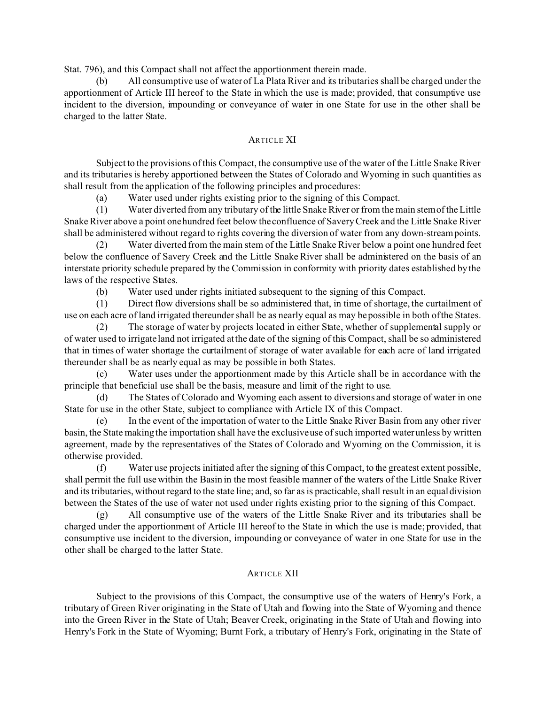Stat. 796), and this Compact shall not affect the apportionment therein made.

(b) All consumptive use of water of La Plata River and its tributaries shall be charged under the apportionment of Article III hereof to the State in which the use is made; provided, that consumptive use incident to the diversion, impounding or conveyance of water in one State for use in the other shall be charged to the latter State.

### ARTICLE XI

Subject to the provisions of this Compact, the consumptive use of the water of the Little Snake River and its tributaries is hereby apportioned between the States of Colorado and Wyoming in such quantities as shall result from the application of the following principles and procedures:

(a) Water used under rights existing prior to the signing of this Compact.

(1) Water diverted from any tributary of the little Snake River or from the main stem of the Little Snake River above a point one hundred feet below the confluence of Savery Creek and the Little Snake River shall be administered without regard to rights covering the diversion of water from any down-stream points.

(2) Water diverted from the main stem of the Little Snake River below a point one hundred feet below the confluence of Savery Creek and the Little Snake River shall be administered on the basis of an interstate priority schedule prepared by the Commission in conformity with priority dates established by the laws of the respective States.

(b) Water used under rights initiated subsequent to the signing of this Compact.

(1) Direct flow diversions shall be so administered that, in time of shortage, the curtailment of use on each acre of land irrigated thereunder shall be as nearly equal as may be possible in both of the States.

(2) The storage of water by projects located in either State, whether of supplemental supply or of water used to irrigate land not irrigated at the date of the signing of this Compact, shall be so administered that in times of water shortage the curtailment of storage of water available for each acre of land irrigated thereunder shall be as nearly equal as may be possible in both States.

(c) Water uses under the apportionment made by this Article shall be in accordance with the principle that beneficial use shall be the basis, measure and limit of the right to use.

(d) The States of Colorado and Wyoming each assent to diversions and storage of water in one State for use in the other State, subject to compliance with Article IX of this Compact.

(e) In the event of the importation of water to the Little Snake River Basin from any other river basin, the State making the importation shall have the exclusive use of such imported water unless by written agreement, made by the representatives of the States of Colorado and Wyoming on the Commission, it is otherwise provided.

(f) Water use projects initiated after the signing of this Compact, to the greatest extent possible, shall permit the full use within the Basin in the most feasible manner of the waters of the Little Snake River and its tributaries, without regard to the state line; and, so far as is practicable, shall result in an equal division between the States of the use of water not used under rights existing prior to the signing of this Compact.

(g) All consumptive use of the waters of the Little Snake River and its tributaries shall be charged under the apportionment of Article III hereof to the State in which the use is made; provided, that consumptive use incident to the diversion, impounding or conveyance of water in one State for use in the other shall be charged to the latter State.

### ARTICLE XII

Subject to the provisions of this Compact, the consumptive use of the waters of Henry's Fork, a tributary of Green River originating in the State of Utah and flowing into the State of Wyoming and thence into the Green River in the State of Utah; Beaver Creek, originating in the State of Utah and flowing into Henry's Fork in the State of Wyoming; Burnt Fork, a tributary of Henry's Fork, originating in the State of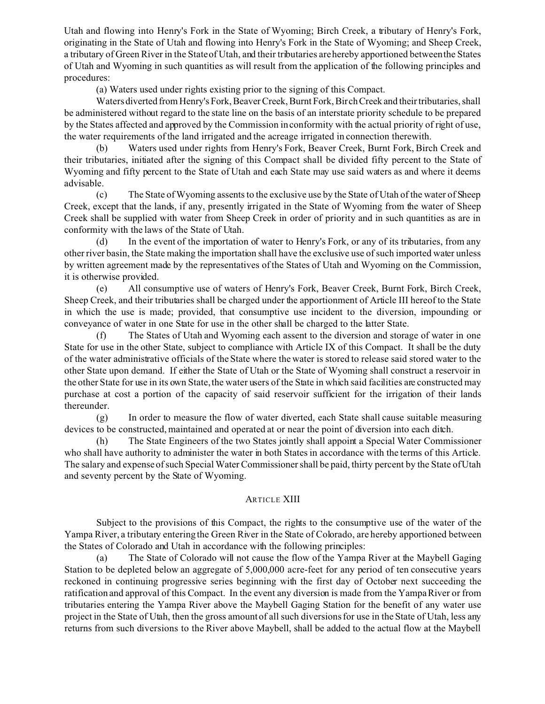Utah and flowing into Henry's Fork in the State of Wyoming; Birch Creek, a tributary of Henry's Fork, originating in the State of Utah and flowing into Henry's Fork in the State of Wyoming; and Sheep Creek, a tributary of Green River in the State of Utah, and their tributaries are hereby apportioned between the States of Utah and Wyoming in such quantities as will result from the application of the following principles and procedures:

(a) Waters used under rights existing prior to the signing of this Compact.

Waters diverted from Henry's Fork, Beaver Creek, Burnt Fork, BirchCreek and their tributaries, shall be administered without regard to the state line on the basis of an interstate priority schedule to be prepared by the States affected and approved by the Commission in conformity with the actual priority of right of use, the water requirements of the land irrigated and the acreage irrigated in connection therewith.

(b) Waters used under rights from Henry's Fork, Beaver Creek, Burnt Fork, Birch Creek and their tributaries, initiated after the signing of this Compact shall be divided fifty percent to the State of Wyoming and fifty percent to the State of Utah and each State may use said waters as and where it deems advisable.

(c) The State of Wyoming assents to the exclusive use by the State of Utah of the water of Sheep Creek, except that the lands, if any, presently irrigated in the State of Wyoming from the water of Sheep Creek shall be supplied with water from Sheep Creek in order of priority and in such quantities as are in conformity with the laws of the State of Utah.

(d) In the event of the importation of water to Henry's Fork, or any of its tributaries, from any other river basin, the State making the importation shall have the exclusive use of such imported water unless by written agreement made by the representatives of the States of Utah and Wyoming on the Commission, it is otherwise provided.

(e) All consumptive use of waters of Henry's Fork, Beaver Creek, Burnt Fork, Birch Creek, Sheep Creek, and their tributaries shall be charged under the apportionment of Article III hereof to the State in which the use is made; provided, that consumptive use incident to the diversion, impounding or conveyance of water in one State for use in the other shall be charged to the latter State.

(f) The States of Utah and Wyoming each assent to the diversion and storage of water in one State for use in the other State, subject to compliance with Article IX of this Compact. It shall be the duty of the water administrative officials of the State where the water is stored to release said stored water to the other State upon demand. If either the State of Utah or the State of Wyoming shall construct a reservoir in the other State for use in its own State, the water users of the State in which said facilities are constructed may purchase at cost a portion of the capacity of said reservoir sufficient for the irrigation of their lands thereunder.

(g) In order to measure the flow of water diverted, each State shall cause suitable measuring devices to be constructed, maintained and operated at or near the point of diversion into each ditch.

(h) The State Engineers of the two States jointly shall appoint a Special Water Commissioner who shall have authority to administer the water in both States in accordance with the terms of this Article. The salary and expense of such Special Water Commissioner shall be paid, thirty percent by the State of Utah and seventy percent by the State of Wyoming.

### ARTICLE XIII

Subject to the provisions of this Compact, the rights to the consumptive use of the water of the Yampa River, a tributary entering the Green River in the State of Colorado, are hereby apportioned between the States of Colorado and Utah in accordance with the following principles:

(a) The State of Colorado will not cause the flow of the Yampa River at the Maybell Gaging Station to be depleted below an aggregate of 5,000,000 acre-feet for any period of ten consecutive years reckoned in continuing progressive series beginning with the first day of October next succeeding the ratification and approval of this Compact. In the event any diversion is made from the Yampa River or from tributaries entering the Yampa River above the Maybell Gaging Station for the benefit of any water use project in the State of Utah, then the gross amount of all such diversions for use in the State of Utah, less any returns from such diversions to the River above Maybell, shall be added to the actual flow at the Maybell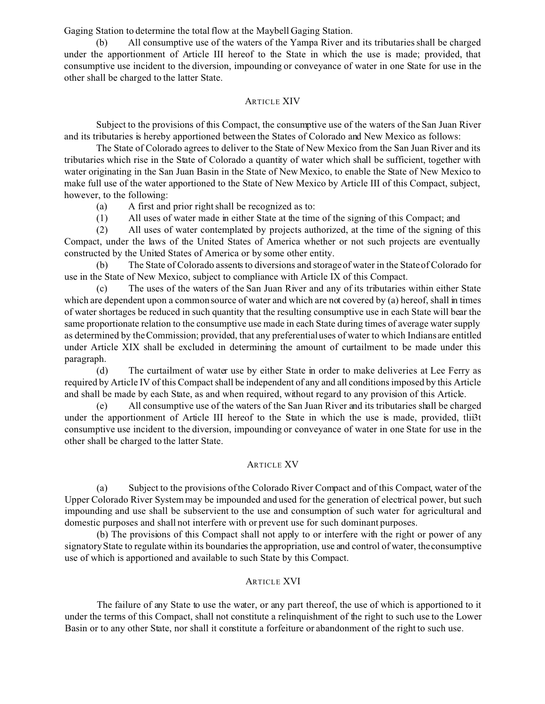Gaging Station to determine the total flow at the Maybell Gaging Station.

(b) All consumptive use of the waters of the Yampa River and its tributaries shall be charged under the apportionment of Article III hereof to the State in which the use is made; provided, that consumptive use incident to the diversion, impounding or conveyance of water in one State for use in the other shall be charged to the latter State.

#### ARTICLE XIV

Subject to the provisions of this Compact, the consumptive use of the waters of the San Juan River and its tributaries is hereby apportioned between the States of Colorado and New Mexico as follows:

The State of Colorado agrees to deliver to the State of New Mexico from the San Juan River and its tributaries which rise in the State of Colorado a quantity of water which shall be sufficient, together with water originating in the San Juan Basin in the State of New Mexico, to enable the State of New Mexico to make full use of the water apportioned to the State of New Mexico by Article III of this Compact, subject, however, to the following:

(a) A first and prior right shall be recognized as to:

(1) All uses of water made in either State at the time of the signing of this Compact; and

(2) All uses of water contemplated by projects authorized, at the time of the signing of this Compact, under the laws of the United States of America whether or not such projects are eventually constructed by the United States of America or by some other entity.

(b) The State of Colorado assents to diversions and storage of water in the State of Colorado for use in the State of New Mexico, subject to compliance with Article IX of this Compact.

(c) The uses of the waters of the San Juan River and any of its tributaries within either State which are dependent upon a common source of water and which are not covered by (a) hereof, shall in times of water shortages be reduced in such quantity that the resulting consumptive use in each State will bear the same proportionate relation to the consumptive use made in each State during times of average water supply as determined by the Commission; provided, that any preferential uses of water to which Indians are entitled under Article XIX shall be excluded in determining the amount of curtailment to be made under this paragraph.

(d) The curtailment of water use by either State in order to make deliveries at Lee Ferry as required by Article IV of this Compact shall be independent of any and all conditions imposed by this Article and shall be made by each State, as and when required, without regard to any provision of this Article.

(e) All consumptive use of the waters of the San Juan River and its tributaries shall be charged under the apportionment of Article III hereof to the State in which the use is made, provided, tlii3t consumptive use incident to the diversion, impounding or conveyance of water in one State for use in the other shall be charged to the latter State.

# ARTICLE XV

(a) Subject to the provisions of the Colorado River Compact and of this Compact, water of the Upper Colorado River System may be impounded and used for the generation of electrical power, but such impounding and use shall be subservient to the use and consumption of such water for agricultural and domestic purposes and shall not interfere with or prevent use for such dominant purposes.

(b) The provisions of this Compact shall not apply to or interfere with the right or power of any signatory State to regulate within its boundaries the appropriation, use and control of water, the consumptive use of which is apportioned and available to such State by this Compact.

### ARTICLE XVI

The failure of any State to use the water, or any part thereof, the use of which is apportioned to it under the terms of this Compact, shall not constitute a relinquishment of the right to such use to the Lower Basin or to any other State, nor shall it constitute a forfeiture or abandonment of the right to such use.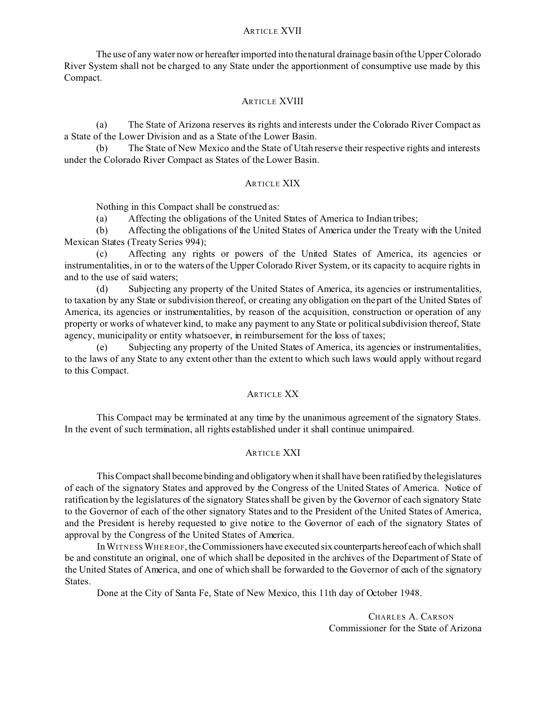#### ARTICLE XVII

The use of any water now or hereafter imported into the natural drainage basin of the Upper Colorado River System shall not be charged to any State under the apportionment of consumptive use made by this Compact.

#### ARTICLE XVIII

(a) The State of Arizona reserves its rights and interests under the Colorado River Compact as a State of the Lower Division and as a State of the Lower Basin.

(b) The State of New Mexico and the State of Utah reserve their respective rights and interests under the Colorado River Compact as States of the Lower Basin.

#### ARTICLE XIX

Nothing in this Compact shall be construed as:

(a) Affecting the obligations of the United States of America to Indian tribes;

(b) Affecting the obligations of the United States of America under the Treaty with the United Mexican States (Treaty Series 994);

(c) Affecting any rights or powers of the United States of America, its agencies or instrumentalities, in or to the waters of the Upper Colorado River System, or its capacity to acquire rights in and to the use of said waters;

(d) Subjecting any property of the United States of America, its agencies or instrumentalities, to taxation by any State or subdivision thereof, or creating any obligation on the part of the United States of America, its agencies or instrumentalities, by reason of the acquisition, construction or operation of any property or works of whatever kind, to make any payment to any State or political subdivision thereof, State agency, municipality or entity whatsoever, in reimbursement for the loss of taxes;

(e) Subjecting any property of the United States of America, its agencies or instrumentalities, to the laws of any State to any extent other than the extent to which such laws would apply without regard to this Compact.

### ARTICLE XX

This Compact may be terminated at any time by the unanimous agreement of the signatory States. In the event of such termination, all rights established under it shall continue unimpaired.

#### ARTICLE XXI

This Compact shall become binding and obligatory when it shall have been ratified by the legislatures of each of the signatory States and approved by the Congress of the United States of America. Notice of ratification by the legislatures of the signatory States shall be given by the Governor of each signatory State to the Governor of each of the other signatory States and to the President of the United States of America, and the President is hereby requested to give notice to the Governor of each of the signatory States of approval by the Congress of the United States of America.

In WITNESS WHEREOF, the Commissioners have executed six counterparts hereof each of which shall be and constitute an original, one of which shall be deposited in the archives of the Department of State of the United States of America, and one of which shall be forwarded to the Governor of each of the signatory States.

Done at the City of Santa Fe, State of New Mexico, this 11th day of October 1948.

CHARLES A. CARSON Commissioner for the State of Arizona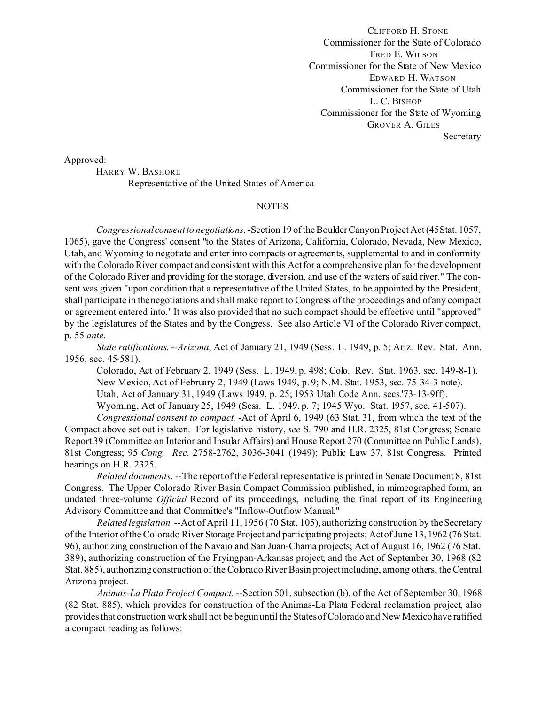CLIFFORD H. STONE Commissioner for the State of Colorado FRED E. WILSON Commissioner for the State of New Mexico EDWARD H. WATSON Commissioner for the State of Utah L. C. BISHOP Commissioner for the State of Wyoming GROVER A. GILES Secretary

Approved:

HARRY W. BASHORE

Representative of the United States of America

# **NOTES**

*Congressional consent to negotiations*. -Section 19 of the Boulder Canyon Project Act (45 Stat. 1057, 1065), gave the Congress' consent "to the States of Arizona, California, Colorado, Nevada, New Mexico, Utah, and Wyoming to negotiate and enter into compacts or agreements, supplemental to and in conformity with the Colorado River compact and consistent with this Act for a comprehensive plan for the development of the Colorado River and providing for the storage, diversion, and use of the waters of said river." The consent was given "upon condition that a representative of the United States, to be appointed by the President, shall participate in the negotiations and shall make report to Congress of the proceedings and of any compact or agreement entered into." It was also provided that no such compact should be effective until "approved" by the legislatures of the States and by the Congress. See also Article VI of the Colorado River compact, p. 55 *ante*.

*State ratifications*. -*-Arizona*, Act of January 21, 1949 (Sess. L. 1949, p. 5; Ariz. Rev. Stat. Ann. 1956, sec. 45-581).

Colorado, Act of February 2, 1949 (Sess. L. 1949, p. 498; Colo. Rev. Stat. 1963, sec. 149-8-1). New Mexico, Act of February 2, 1949 (Laws 1949, p. 9; N.M. Stat. 1953, sec. 75-34-3 note). Utah, Act of January 31, 1949 (Laws 1949, p. 25; 1953 Utah Code Ann. secs.'73-13-9ff). Wyoming, Act of January 25, 1949 (Sess. L. 1949. p. 7; 1945 Wyo. Stat. 1957, sec. 41-507).

*Congressional consent to compact*. -Act of April 6, 1949 (63 Stat. 31, from which the text of the Compact above set out is taken. For legislative history, *see* S. 790 and H.R. 2325, 81st Congress; Senate Report 39 (Committee on Interior and Insular Affairs) and House Report 270 (Committee on Public Lands), 81st Congress; 95 *Cong. Rec*. 2758-2762, 3036-3041 (1949); Public Law 37, 81st Congress. Printed hearings on H.R. 2325.

*Related documents*. --The report of the Federal representative is printed in Senate Document 8, 81st Congress. The Upper Colorado River Basin Compact Commission published, in mimeographed form, an undated three-volume *Official* Record of its proceedings, including the final report of its Engineering Advisory Committee and that Committee's "Inflow-Outflow Manual."

*Related legislation*. --Act of April 11, 1956 (70 Stat. 105), authorizing construction by the Secretary of the Interior of the Colorado River Storage Project and participating projects; Act of June 13, 1962 (76 Stat. 96), authorizing construction of the Navajo and San Juan-Chama projects; Act of August 16, 1962 (76 Stat. 389), authorizing construction of the Fryingpan-Arkansas project; and the Act of September 30, 1968 (82 Stat. 885), authorizing construction of the Colorado River Basin project including, among others, the Central Arizona project.

*Animas-La Plata Project Compact*. --Section 501, subsection (b), of the Act of September 30, 1968 (82 Stat. 885), which provides for construction of the Animas-La Plata Federal reclamation project, also provides that construction work shall not be begun until the States of Colorado and New Mexico have ratified a compact reading as follows: